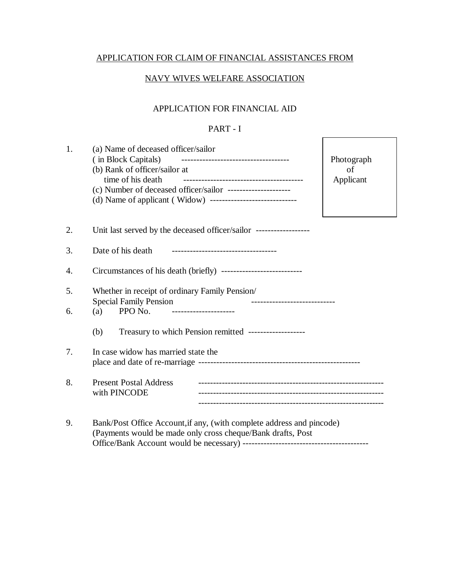## APPLICATION FOR CLAIM OF FINANCIAL ASSISTANCES FROM

## NAVY WIVES WELFARE ASSOCIATION

# APPLICATION FOR FINANCIAL AID

#### PART - I

 $\sqrt{ }$ 

| 1.       | (a) Name of deceased officer/sailor<br>(in Block Capitals)<br>-----------------------------------<br>Photograph<br>(b) Rank of officer/sailor at<br>of<br>time of his death<br>Applicant<br>(c) Number of deceased officer/sailor ----------------------<br>(d) Name of applicant (Widow) ------------------------------ |  |
|----------|--------------------------------------------------------------------------------------------------------------------------------------------------------------------------------------------------------------------------------------------------------------------------------------------------------------------------|--|
| 2.       | Unit last served by the deceased officer/sailor ------------------                                                                                                                                                                                                                                                       |  |
| 3.       | Date of his death<br>------------------------------------                                                                                                                                                                                                                                                                |  |
| 4.       |                                                                                                                                                                                                                                                                                                                          |  |
| 5.<br>6. | Whether in receipt of ordinary Family Pension/<br><b>Special Family Pension</b><br>PPO No. ---------------------<br>(a)                                                                                                                                                                                                  |  |
|          | Treasury to which Pension remitted ------------------<br>(b)                                                                                                                                                                                                                                                             |  |
| 7.       | In case widow has married state the                                                                                                                                                                                                                                                                                      |  |
| 8.       | <b>Present Postal Address</b><br>with PINCODE                                                                                                                                                                                                                                                                            |  |
| 9.       | Bank/Post Office Account, if any, (with complete address and pincode)<br>(Payments would be made only cross cheque/Bank drafts, Post                                                                                                                                                                                     |  |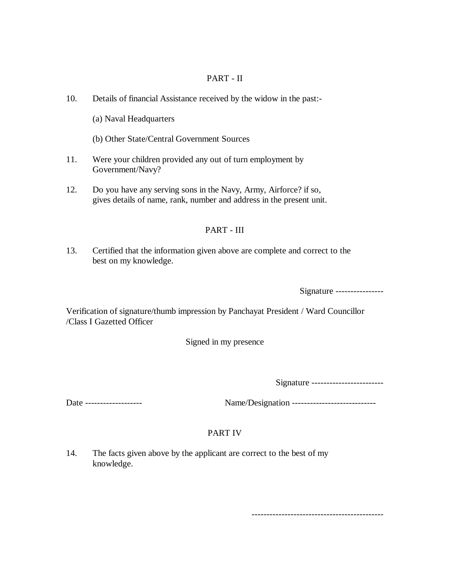#### PART - II

- 10. Details of financial Assistance received by the widow in the past:-
	- (a) Naval Headquarters
	- (b) Other State/Central Government Sources
- 11. Were your children provided any out of turn employment by Government/Navy?
- 12. Do you have any serving sons in the Navy, Army, Airforce? if so, gives details of name, rank, number and address in the present unit.

## PART - III

13. Certified that the information given above are complete and correct to the best on my knowledge.

Signature ----------------

Verification of signature/thumb impression by Panchayat President / Ward Councillor /Class I Gazetted Officer

Signed in my presence

Signature ------------------------

Date ------------------- Name/Designation ----------------------------

### PART IV

14. The facts given above by the applicant are correct to the best of my knowledge.

--------------------------------------------